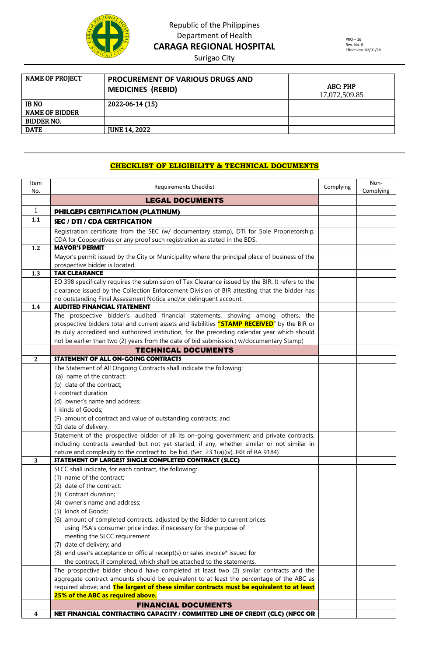

Surigao City

| <b>NAME OF PROJECT</b> | <b>PROCUREMENT OF VARIOUS DRUGS AND</b><br><b>MEDICINES (REBID)</b> | ABC: PHP<br>17,072,509.85 |
|------------------------|---------------------------------------------------------------------|---------------------------|
| <b>IBNO</b>            | 2022-06-14 (15)                                                     |                           |
| <b>NAME OF BIDDER</b>  |                                                                     |                           |
| <b>BIDDER NO.</b>      |                                                                     |                           |
| <b>DATE</b>            | <b>JUNE 14, 2022</b>                                                |                           |

#### **CHECKLIST OF ELIGIBILITY & TECHNICAL DOCUMENTS**

| Item<br>No.  | <b>Requirements Checklist</b>                                                                                                                           | Complying | Non-<br>Complying |
|--------------|---------------------------------------------------------------------------------------------------------------------------------------------------------|-----------|-------------------|
|              | <b>LEGAL DOCUMENTS</b>                                                                                                                                  |           |                   |
| $\mathbf{1}$ | PHILGEPS CERTIFICATION (PLATINUM)                                                                                                                       |           |                   |
| 1.1          | <b>SEC / DTI / CDA CERTFICATION</b>                                                                                                                     |           |                   |
|              | Registration certificate from the SEC (w/ documentary stamp), DTI for Sole Proprietorship,                                                              |           |                   |
|              | CDA for Cooperatives or any proof such registration as stated in the BDS.                                                                               |           |                   |
| 1.2          | <b>MAYOR'S PERMIT</b>                                                                                                                                   |           |                   |
|              | Mayor's permit issued by the City or Municipality where the principal place of business of the<br>prospective bidder is located.                        |           |                   |
| 1.3          | <b>TAX CLEARANCE</b>                                                                                                                                    |           |                   |
|              | EO 398 specifically requires the submission of Tax Clearance issued by the BIR. It refers to the                                                        |           |                   |
|              | clearance issued by the Collection Enforcement Division of BIR attesting that the bidder has                                                            |           |                   |
|              | no outstanding Final Assessment Notice and/or delinquent account.                                                                                       |           |                   |
| 1.4          | <b>AUDITED FINANCIAL STATEMENT</b>                                                                                                                      |           |                   |
|              | The prospective bidder's audited financial statements, showing among others, the                                                                        |           |                   |
|              | prospective bidders total and current assets and liabilities "STAMP RECEIVED" by the BIR or                                                             |           |                   |
|              | its duly accredited and authorized institution, for the preceding calendar year which should                                                            |           |                   |
|              | not be earlier than two (2) years from the date of bid submission.( w/documentary Stamp)                                                                |           |                   |
|              | <b>TECHNICAL DOCUMENTS</b>                                                                                                                              |           |                   |
| $\mathbf{2}$ | STATEMENT OF ALL ON-GOING CONTRACTS                                                                                                                     |           |                   |
|              | The Statement of All Ongoing Contracts shall indicate the following:                                                                                    |           |                   |
|              | (a) name of the contract;                                                                                                                               |           |                   |
|              | (b) date of the contract;                                                                                                                               |           |                   |
|              | I contract duration                                                                                                                                     |           |                   |
|              | (d) owner's name and address;                                                                                                                           |           |                   |
|              | I kinds of Goods;                                                                                                                                       |           |                   |
|              | (F) amount of contract and value of outstanding contracts; and                                                                                          |           |                   |
|              | (G) date of delivery.<br>Statement of the prospective bidder of all its on-going government and private contracts,                                      |           |                   |
|              | including contracts awarded but not yet started, if any, whether similar or not similar in                                                              |           |                   |
|              | nature and complexity to the contract to be bid. (Sec. 23.1(a)(iv), IRR of RA 9184)                                                                     |           |                   |
| 3            | STATEMENT OF LARGEST SINGLE COMPLETED CONTRACT (SLCC)                                                                                                   |           |                   |
|              | SLCC shall indicate, for each contract, the following:                                                                                                  |           |                   |
|              | (1) name of the contract;                                                                                                                               |           |                   |
|              | (2) date of the contract;                                                                                                                               |           |                   |
|              | (3) Contract duration;                                                                                                                                  |           |                   |
|              | (4) owner's name and address;                                                                                                                           |           |                   |
|              | (5) kinds of Goods;                                                                                                                                     |           |                   |
|              | (6) amount of completed contracts, adjusted by the Bidder to current prices                                                                             |           |                   |
|              | using PSA's consumer price index, if necessary for the purpose of                                                                                       |           |                   |
|              | meeting the SLCC requirement                                                                                                                            |           |                   |
|              | (7) date of delivery; and                                                                                                                               |           |                   |
|              | (8) end user's acceptance or official receipt(s) or sales invoice* issued for<br>the contract, if completed, which shall be attached to the statements. |           |                   |
|              | The prospective bidder should have completed at least two (2) similar contracts and the                                                                 |           |                   |
|              | aggregate contract amounts should be equivalent to at least the percentage of the ABC as                                                                |           |                   |
|              | required above; and The largest of these similar contracts must be equivalent to at least                                                               |           |                   |
|              | 25% of the ABC as required above.                                                                                                                       |           |                   |
|              | <b>FINANCIAL DOCUMENTS</b>                                                                                                                              |           |                   |
| 4            | NET FINANCIAL CONTRACTING CAPACITY / COMMITTED LINE OF CREDIT (CLC) (NFCC OR                                                                            |           |                   |
|              |                                                                                                                                                         |           |                   |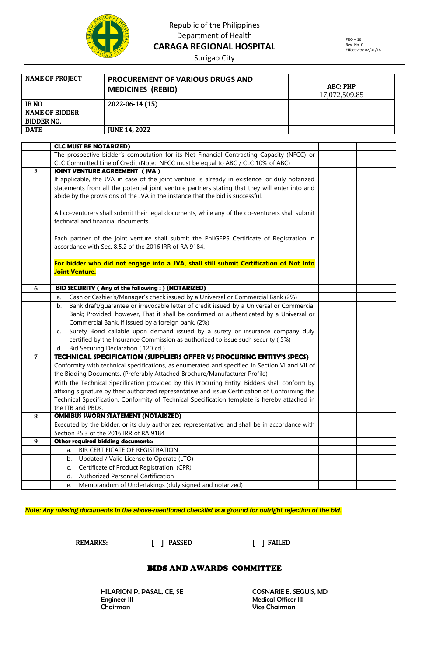

PRO – 16 Rev. No. 0 Effectivity: 02/01/18

Surigao City

| <b>NAME OF PROJECT</b> | <b>PROCUREMENT OF VARIOUS DRUGS AND</b><br><b>MEDICINES (REBID)</b> | ABC: PHP<br>17,072,509.85 |
|------------------------|---------------------------------------------------------------------|---------------------------|
| <b>IBNO</b>            | 2022-06-14 (15)                                                     |                           |
| <b>NAME OF BIDDER</b>  |                                                                     |                           |
| <b>BIDDER NO.</b>      |                                                                     |                           |
| <b>DATE</b>            | <b>JUNE 14, 2022</b>                                                |                           |

|   | <b>CLC MUST BE NOTARIZED)</b>                                                                                                                        |  |
|---|------------------------------------------------------------------------------------------------------------------------------------------------------|--|
|   | The prospective bidder's computation for its Net Financial Contracting Capacity (NFCC) or                                                            |  |
|   | CLC Committed Line of Credit (Note: NFCC must be equal to ABC / CLC 10% of ABC)                                                                      |  |
| 5 | <b>JOINT VENTURE AGREEMENT (JVA)</b>                                                                                                                 |  |
|   | If applicable, the JVA in case of the joint venture is already in existence, or duly notarized                                                       |  |
|   | statements from all the potential joint venture partners stating that they will enter into and                                                       |  |
|   | abide by the provisions of the JVA in the instance that the bid is successful.                                                                       |  |
|   |                                                                                                                                                      |  |
|   | All co-venturers shall submit their legal documents, while any of the co-venturers shall submit                                                      |  |
|   | technical and financial documents.                                                                                                                   |  |
|   |                                                                                                                                                      |  |
|   | Each partner of the joint venture shall submit the PhilGEPS Certificate of Registration in<br>accordance with Sec. 8.5.2 of the 2016 IRR of RA 9184. |  |
|   |                                                                                                                                                      |  |
|   | For bidder who did not engage into a JVA, shall still submit Certification of Not Into                                                               |  |
|   | <b>Joint Venture.</b>                                                                                                                                |  |
|   |                                                                                                                                                      |  |
| 6 | BID SECURITY (Any of the following:) (NOTARIZED)                                                                                                     |  |
|   | Cash or Cashier's/Manager's check issued by a Universal or Commercial Bank (2%)<br>a.                                                                |  |
|   | Bank draft/quarantee or irrevocable letter of credit issued by a Universal or Commercial<br>b.                                                       |  |
|   | Bank; Provided, however, That it shall be confirmed or authenticated by a Universal or                                                               |  |
|   | Commercial Bank, if issued by a foreign bank. (2%)                                                                                                   |  |
|   | Surety Bond callable upon demand issued by a surety or insurance company duly<br>C.                                                                  |  |
|   | certified by the Insurance Commission as authorized to issue such security (5%)                                                                      |  |
|   | Bid Securing Declaration (120 cd)<br>d.                                                                                                              |  |
| 7 | TECHNICAL SPECIFICATION (SUPPLIERS OFFER VS PROCURING ENTITY'S SPECS)                                                                                |  |
|   | Conformity with technical specifications, as enumerated and specified in Section VI and VII of                                                       |  |
|   | the Bidding Documents. (Preferably Attached Brochure/Manufacturer Profile)                                                                           |  |
|   | With the Technical Specification provided by this Procuring Entity, Bidders shall conform by                                                         |  |
|   | affixing signature by their authorized representative and issue Certification of Conforming the                                                      |  |
|   | Technical Specification. Conformity of Technical Specification template is hereby attached in                                                        |  |
|   | the ITB and PBDs.                                                                                                                                    |  |
| 8 | <b>OMNIBUS SWORN STATEMENT (NOTARIZED)</b>                                                                                                           |  |
|   | Executed by the bidder, or its duly authorized representative, and shall be in accordance with                                                       |  |
|   | Section 25.3 of the 2016 IRR of RA 9184                                                                                                              |  |
| 9 | Other required bidding documents:                                                                                                                    |  |
|   | BIR CERTIFICATE OF REGISTRATION<br>a.                                                                                                                |  |
|   | Updated / Valid License to Operate (LTO)<br>b.                                                                                                       |  |
|   | Certificate of Product Registration (CPR)<br>C.                                                                                                      |  |
|   | Authorized Personnel Certification<br>d.                                                                                                             |  |
|   | Memorandum of Undertakings (duly signed and notarized)<br>e.                                                                                         |  |

*Note: Any missing documents in the above-mentioned checklist is a ground for outright rejection of the bid.* 

REMARKS: [ ] PASSED [ ] FAILED

#### BIDS AND AWARDS COMMITTEE

HILARION P. PASAL, CE, SE COSNARIE E. SEGUIS, MD Engineer III Medical Officer III

Vice Chairman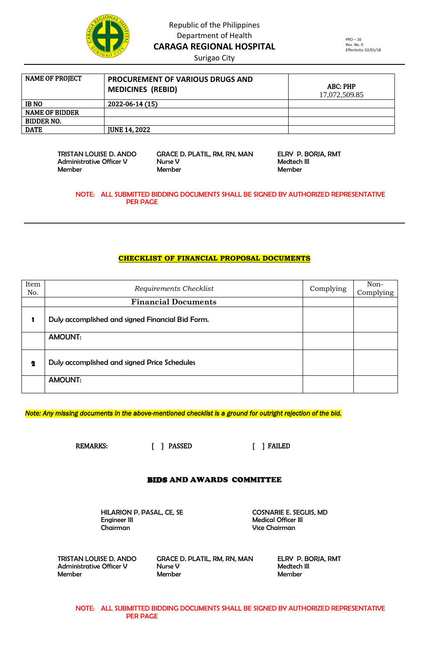

Surigao City

PRO – 16 Rev. No. 0 Effectivity: 02/01/18

| NAME OF PROJECT       | <b>PROCUREMENT OF VARIOUS DRUGS AND</b><br><b>MEDICINES (REBID)</b> | ABC: PHP<br>17,072,509.85 |
|-----------------------|---------------------------------------------------------------------|---------------------------|
| <b>IBNO</b>           | 2022-06-14 (15)                                                     |                           |
| <b>NAME OF BIDDER</b> |                                                                     |                           |
| <b>BIDDER NO.</b>     |                                                                     |                           |
| <b>DATE</b>           | <b>IUNE 14.2022</b>                                                 |                           |

 TRISTAN LOUISE D. ANDO GRACE D. PLATIL, RM, RN, MAN ELRY P. BORJA, RMT Administrative Officer V Nurse V Medtech III Member Member Member

NOTE: ALL SUBMITTED BIDDING DOCUMENTS SHALL BE SIGNED BY AUTHORIZED REPRESENTATIVE PER PAGE

#### **CHECKLIST OF FINANCIAL PROPOSAL DOCUMENTS**

| Item<br>No. | Requirements Checklist                           | Complying | Non-<br>Complying |
|-------------|--------------------------------------------------|-----------|-------------------|
|             | <b>Financial Documents</b>                       |           |                   |
|             | Duly accomplished and signed Financial Bid Form. |           |                   |
|             | <b>AMOUNT:</b>                                   |           |                   |
| $\mathbf 2$ | Duly accomplished and signed Price Schedules     |           |                   |
|             | <b>AMOUNT:</b>                                   |           |                   |

*Note: Any missing documents in the above-mentioned checklist is a ground for outright rejection of the bid.* 

REMARKS: [ ] PASSED [ ] FAILED

#### BIDS AND AWARDS COMMITTEE

HILARION P. PASAL, CE, SE COSNARIE E. SEGUIS, MD<br>Engineer III Cosnaries (III Cosnaries Medical Officer III Chairman Vice Chairman

**Medical Officer III** 

 TRISTAN LOUISE D. ANDO GRACE D. PLATIL, RM, RN, MAN ELRY P. BORJA, RMT Administrative Officer V Nurse V Medtech III Member Member Member

NOTE: ALL SUBMITTED BIDDING DOCUMENTS SHALL BE SIGNED BY AUTHORIZED REPRESENTATIVE PER PAGE